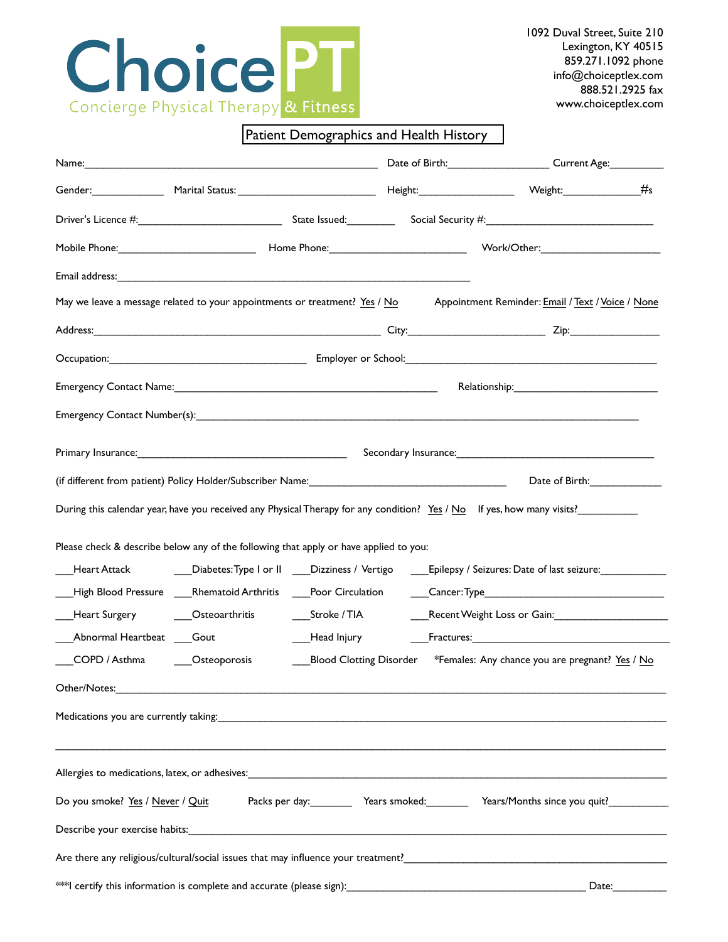

1092 Duval Street, Suite 210 Lexington, KY 40515 859.271.1092 phone info@choiceptlex.com 888.521.2925 fax www.choiceptlex.com

## Patient Demographics and Health History

| Appointment Reminder: Email / Text / Voice / None<br>May we leave a message related to your appointments or treatment? Yes / No                                                                                                |  |                                                                                              |  |  |
|--------------------------------------------------------------------------------------------------------------------------------------------------------------------------------------------------------------------------------|--|----------------------------------------------------------------------------------------------|--|--|
|                                                                                                                                                                                                                                |  |                                                                                              |  |  |
|                                                                                                                                                                                                                                |  |                                                                                              |  |  |
| Emergency Contact Name: Name and Society and Society and Society and Society and Society and Society and Society and Society and Society and Society and Society and Society and Society and Society and Society and Society a |  |                                                                                              |  |  |
|                                                                                                                                                                                                                                |  |                                                                                              |  |  |
|                                                                                                                                                                                                                                |  |                                                                                              |  |  |
|                                                                                                                                                                                                                                |  |                                                                                              |  |  |
| Date of Birth: 1990                                                                                                                                                                                                            |  |                                                                                              |  |  |
| During this calendar year, have you received any Physical Therapy for any condition? Yes / No If yes, how many visits?                                                                                                         |  |                                                                                              |  |  |
| Please check & describe below any of the following that apply or have applied to you:                                                                                                                                          |  |                                                                                              |  |  |
| __________________________Diabetes:Type I or II _____Dizziness / Vertigo ______Epilepsy / Seizures: Date of last seizure:_____________                                                                                         |  |                                                                                              |  |  |
| High Blood Pressure ____Rhematoid Arthritis ____Poor Circulation                                                                                                                                                               |  | $\begin{array}{c} \text{Cancer:Type} \\ \end{array}$                                         |  |  |
|                                                                                                                                                                                                                                |  |                                                                                              |  |  |
| Abnormal Heartbeat Gout                                                                                                                                                                                                        |  | Mead Injury <b>Fractures:</b> Fractures:                                                     |  |  |
| COPD / Asthma _______Osteoporosis                                                                                                                                                                                              |  | _Blood Clotting Disorder       *Females: Any chance you are pregnant? <u>Yes</u> / <u>No</u> |  |  |
| Other/Notes:                                                                                                                                                                                                                   |  |                                                                                              |  |  |
|                                                                                                                                                                                                                                |  |                                                                                              |  |  |
|                                                                                                                                                                                                                                |  |                                                                                              |  |  |
|                                                                                                                                                                                                                                |  |                                                                                              |  |  |
| Packs per day: __________ Years smoked: __________ Years/Months since you quit? _____________<br>Do you smoke? Yes / Never / Quit                                                                                              |  |                                                                                              |  |  |
|                                                                                                                                                                                                                                |  |                                                                                              |  |  |
| Are there any religious/cultural/social issues that may influence your treatment?                                                                                                                                              |  |                                                                                              |  |  |
|                                                                                                                                                                                                                                |  |                                                                                              |  |  |